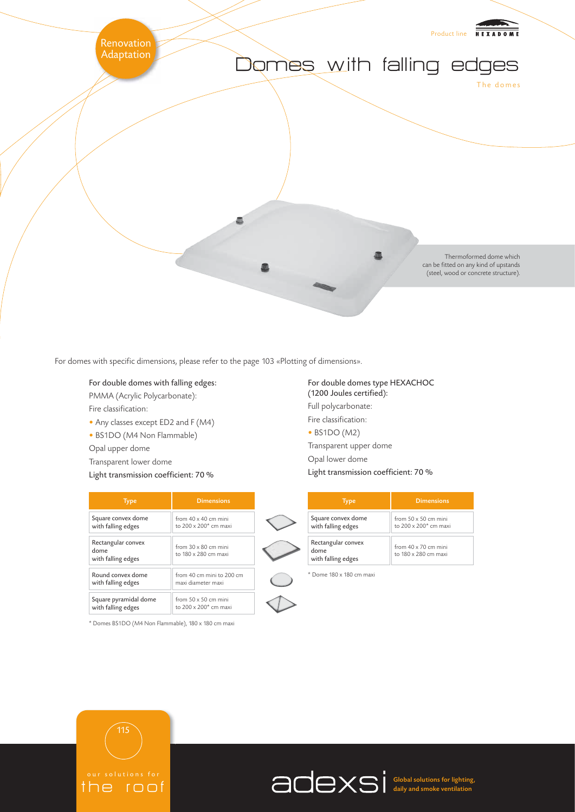

For domes with specific dimensions, please refer to the page 103 «Plotting of dimensions».

- For double domes with falling edges: PMMA (Acrylic Polycarbonate): Fire classification:
- 
- Any classes except ED2 and F (M4)
- BS1DO (M4 Non Flammable)
- Opal upper dome
- Transparent lower dome

olutions the roof

115

Light transmission coefficient: 70 %

| <b>Type</b>                                      | <b>Dimensions</b>                                   |
|--------------------------------------------------|-----------------------------------------------------|
| Square convex dome                               | from 40 x 40 cm mini                                |
| with falling edges                               | to $200 \times 200^*$ cm maxi                       |
| Rectangular convex<br>dome<br>with falling edges | from $30 \times 80$ cm mini<br>to 180 x 280 cm maxi |
| Round convex dome                                | from 40 cm mini to 200 cm                           |
| with falling edges                               | maxi diameter maxi                                  |
| Square pyramidal dome                            | from $50 \times 50$ cm mini                         |
| with falling edges                               | to 200 x 200* cm maxi                               |

\* Domes BS1DO (M4 Non Flammable), 180 x 180 cm maxi

For double domes type HEXACHOC (1200 Joules certified): Full polycarbonate: Fire classification: • BS1DO (M2) Transparent upper dome Opal lower dome Light transmission coefficient: 70 %

| <b>Type</b>                                      | Dimensions                                                       |
|--------------------------------------------------|------------------------------------------------------------------|
| Square convex dome<br>with falling edges         | from $50 \times 50$ cm mini<br>to 200 x 200 <sup>*</sup> cm maxi |
| Rectangular convex<br>dome<br>with falling edges | from $40 \times 70$ cm mini<br>to 180 x 280 cm maxi              |

\* Dome 180 x 180 cm maxi



Global solutions for lighting, daily and smoke ventilation